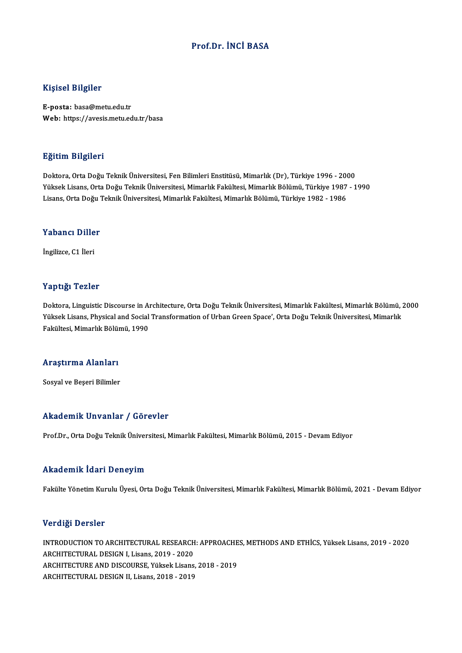### Prof.Dr. İNCİ BASA

### Kişisel Bilgiler

E-posta: basa@metu.edu.tr Web: https://avesis.metu.edu.tr/basa

### Eğitim Bilgileri

Doktora,OrtaDoğuTeknikÜniversitesi,FenBilimleriEnstitüsü,Mimarlık(Dr),Türkiye 1996 -2000 YüksekLisans,OrtaDoğuTeknikÜniversitesi,MimarlıkFakültesi,MimarlıkBölümü,Türkiye 1987 -1990 Lisans,OrtaDoğuTeknikÜniversitesi,MimarlıkFakültesi,MimarlıkBölümü,Türkiye 1982 -1986

## Lisans, orta Dogu<br>Yabancı Diller Y<mark>abancı Dille</mark><br>İngilizce, C1 İleri

# İngilizce, C1 İleri<br>Yaptığı Tezler

Yaptığı Tezler<br>Doktora, Linguistic Discourse in Architecture, Orta Doğu Teknik Üniversitesi, Mimarlık Fakültesi, Mimarlık Bölümü, 2000<br>Yüksek Lisans, Physical and Social Transformation of Urban Creen Space', Orta Doğu Tekn Yüksek Yözsek<br>Doktora, Linguistic Discourse in Architecture, Orta Doğu Teknik Üniversitesi, Mimarlık Fakültesi, Mimarlık Bölümü, I<br>Yüksek Lisans, Physical and Social Transformation of Urban Green Space', Orta Doğu Teknik Ü Doktora, Linguistic Discourse in Al<br>Yüksek Lisans, Physical and Social<br>Fakültesi, Mimarlık Bölümü, 1990

## rakultesi, mimarlık bolul<br>Araştırma Alanları <mark>Araştırma Alanları</mark><br>Sosyal ve Beşeri Bilimler

## Akademik Unvanlar / Görevler

Prof.Dr.,OrtaDoğuTeknikÜniversitesi,MimarlıkFakültesi,MimarlıkBölümü,2015 -DevamEdiyor

### Akademik İdari Deneyim

Fakülte Yönetim Kurulu Üyesi, Orta Doğu Teknik Üniversitesi, Mimarlık Fakültesi, Mimarlık Bölümü, 2021 - Devam Ediyor

### Verdiği Dersler

Verdiği Dersler<br>INTRODUCTION TO ARCHITECTURAL RESEARCH: APPROACHES, METHODS AND ETHİCS, Yüksek Lisans, 2019 - 2020<br>ARCHITECTURAL DESICN L.H.isans, 2019, 2020 **VETER DETERT<br>INTRODUCTION TO ARCHITECTURAL RESEARCH<br>ARCHITECTURAL DESIGN I, Lisans, 2019 - 2020<br>ARCHITECTURE AND DISCOURSE Villeal: Lisans** INTRODUCTION TO ARCHITECTURAL RESEARCH: APPROACHE<br>ARCHITECTURAL DESIGN I, Lisans, 2019 - 2020<br>ARCHITECTURE AND DISCOURSE, Yüksek Lisans, 2018 - 2019<br>ARCHITECTURAL DESICN II Lisans, 2019 - 2019 ARCHITECTURAL DESIGN I, Lisans, 2019 - 2020<br>ARCHITECTURE AND DISCOURSE, Yüksek Lisans, 2018 - 2019<br>ARCHITECTURAL DESIGN II, Lisans, 2018 - 2019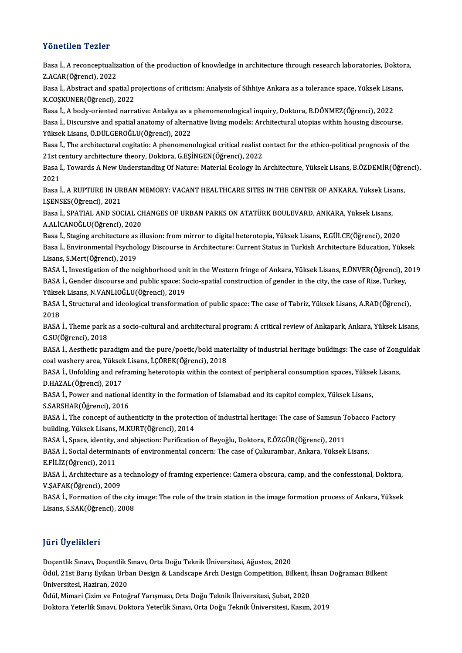### Yönetilen Tezler

Yönetilen Tezler<br>Basa İ., A reconceptualization of the production of knowledge in architecture through research laboratories, Doktora,<br>Z AGAR(Öğrensi), 2022 **Z.ACAR(Öğrenci), 2022<br>Z.ACAR(Öğrenci), 2022<br>Pasa İ. Abstrast and ana** Basa İ., A reconceptualization of the production of knowledge in architecture through research laboratories, Dokto:<br>Z.ACAR(Öğrenci), 2022<br>Basa İ., Abstract and spatial projections of criticism: Analysis of Sihhiye Ankara a

Z.ACAR(Öğrenci), 2022<br>Basa İ., Abstract and spatial pı<br>K.COŞKUNER(Öğrenci), 2022<br>Basa İ. A badu oriented narra Basa İ., Abstract and spatial projections of criticism: Analysis of Sihhiye Ankara as a tolerance space, Yüksek Lisai<br>K.COŞKUNER(Öğrenci), 2022<br>Basa İ., A body-oriented narrative: Antakya as a phenomenological inquiry, Dok

K.COŞKUNER(Öğrenci), 2022<br>Basa İ., A body-oriented narrative: Antakya as a phenomenological inquiry, Doktora, B.DÖNMEZ(Öğrenci), 2022<br>Basa İ., Discursive and spatial anatomy of alternative living models: Architectural utop Basa İ., A body-oriented narrative: Antakya as a<br>Basa İ., Discursive and spatial anatomy of altern<br>Yüksek Lisans, Ö.DÜLGEROĞLU(Öğrenci), 2022<br>Basa İ. The anshitestural sositatio: A phanomen Basa İ., Discursive and spatial anatomy of alternative living models: Architectural utopias within housing discourse,<br>Yüksek Lisans, Ö.DÜLGEROĞLU(Öğrenci), 2022<br>Basa İ., The architectural cogitatio: A phenomenological crit

Yüksek Lisans, Ö.DÜLGEROĞLU(Öğrenci), 2022<br>Basa İ., The architectural cogitatio: A phenomenological critical realist c<br>21st century architecture theory, Doktora, G.EŞİNGEN(Öğrenci), 2022<br>Basa İ. Tayyarda A Nav Understandin Basa İ., The architectural cogitatio: A phenomenological critical realist contact for the ethico-political prognosis of the<br>21st century architecture theory, Doktora, G.EŞİNGEN(Öğrenci), 2022<br>Basa İ., Towards A New Underst

21st c<br>Basa İ<br>2021<br>Basa İ Basa İ., Towards A New Understanding Of Nature: Material Ecology In Architecture, Yüksek Lisans, B.ÖZDEMİR(Öğre<br>2021<br>Basa İ., A RUPTURE IN URBAN MEMORY: VACANT HEALTHCARE SITES IN THE CENTER OF ANKARA, Yüksek Lisans,<br>LSENS

2021<br>Basa İ., A RUPTURE IN UR<br>I.ŞENSES(Öğrenci), 2021<br>Basa İ. SBATIAL AND SOC Basa İ., A RUPTURE IN URBAN MEMORY: VACANT HEALTHCARE SITES IN THE CENTER OF ANKARA, Yüksek Lis:<br>I.ŞENSES(Öğrenci), 2021<br>Basa İ., SPATIAL AND SOCIAL CHANGES OF URBAN PARKS ON ATATÜRK BOULEVARD, ANKARA, Yüksek Lisans,<br>A ALİ

I.ŞENSES(Öğrenci), 2021<br>Basa İ., SPATIAL AND SOCIAL CHANGES OF URBAN PARKS ON ATATÜRK BOULEVARD, ANKARA, Yüksek Lisans,<br>A.ALİCANOĞLU(Öğrenci), 2020 Basa İ., SPATIAL AND SOCIAL CHANGES OF URBAN PARKS ON ATATÜRK BOULEVARD, ANKARA, Yüksek Lisans,<br>A.ALİCANOĞLU(Öğrenci), 2020<br>Basa İ., Staging architecture as illusion: from mirror to digital heterotopia, Yüksek Lisans, E.GÜ

A.ALİCANOĞLU(Öğrenci), 2020<br>Basa İ., Staging architecture as illusion: from mirror to digital heterotopia, Yüksek Lisans, E.GÜLCE(Öğrenci), 2020<br>Basa İ., Environmental Psychology Discourse in Architecture: Current Status i Basa İ., Staging architecture as<br>Basa İ., Environmental Psychol<br>Lisans, S.Mert(Öğrenci), 2019<br>BASA İ. Investigation of the no Basa İ., Environmental Psychology Discourse in Architecture: Current Status in Turkish Architecture Education, Yüksek<br>Lisans, S.Mert(Öğrenci), 2019<br>BASA İ., Investigation of the neighborhood unit in the Western fringe of A

Lisans, S.Mert(Öğrenci), 2019<br>BASA İ., Investigation of the neighborhood unit in the Western fringe of Ankara, Yüksek Lisans, E.ÜNVER(Öğrenci), 2<br>BASA İ., Gender discourse and public space: Socio-spatial construction of ge BASA İ., Investigation of the neighborhood uni<br>BASA İ., Gender discourse and public space: So<br>Yüksek Lisans, N.VANLIOĞLU(Öğrenci), 2019<br>BASA İ. Structural and idealegigal transforma

BASA İ., Gender discourse and public space: Socio-spatial construction of gender in the city, the case of Rize, Turkey,<br>Yüksek Lisans, N.VANLIOĞLU(Öğrenci), 2019<br>BASA İ., Structural and ideological transformation of public Yükse<br>BASA<br>2018<br>PASA BASA İ., Structural and ideological transformation of public space: The case of Tabriz, Yüksek Lisans, A.RAD(Öğrenci),<br>2018<br>BASA İ., Theme park as a socio-cultural and architectural program: A critical review of Ankapark,

2018<br>BASA İ., Theme park :<br>G.SU(Öğrenci), 2018<br>BASA İ. Asathatia par BASA İ., Theme park as a socio-cultural and architectural program: A critical review of Ankapark, Ankara, Yüksek Lisans,<br>G.SU(Öğrenci), 2018<br>BASA İ., Aesthetic paradigm and the pure/poetic/bold materiality of industrial he

G.SU(Öğrenci), 2018<br>BASA İ., Aesthetic paradigm and the pure/poetic/bold mate<br>coal washery area, Yüksek Lisans, İ.ÇÖREK(Öğrenci), 2018<br>BASA İ. Unfolding and reframing heterotonia within the col BASA İ., Aesthetic paradigm and the pure/poetic/bold materiality of industrial heritage buildings: The case of Zonguldak<br>coal washery area, Yüksek Lisans, İ.ÇÖREK(Öğrenci), 2018<br>BASA İ., Unfolding and reframing heterotopia

coal washery area, Yüksel<br>BASA İ., Unfolding and ref<br>D.HAZAL(Öğrenci), 2017<br>BASA İ. Bower and nation BASA İ., Unfolding and reframing heterotopia within the context of peripheral consumption spaces, Yükse<br>D.HAZAL(Öğrenci), 2017<br>BASA İ., Power and national identity in the formation of Islamabad and its capitol complex, Yük

D.HAZAL(Öğrenci), 2017<br>BASA İ., Power and national<br>S.SARSHAR(Öğrenci), 2016<br>BASA İ. The sensent of suth

BASA İ., Power and national identity in the formation of Islamabad and its capitol complex, Yüksek Lisans,<br>S.SARSHAR(Öğrenci), 2016<br>BASA İ., The concept of authenticity in the protection of industrial heritage: The case of S.SARSHAR(Öğrenci), 2016<br>BASA İ., The concept of authenticity in the protection of industrial heritage: The case of Samsun Tobacco Factory<br>building, Yüksek Lisans, M.KURT(Öğrenci), 2014 BASA İ., The concept of authenticity in the protection of industrial heritage: The case of Samsun T<br>building, Yüksek Lisans, M.KURT(Öğrenci), 2014<br>BASA İ., Space, identity, and abjection: Purification of Beyoğlu, Doktora,

BASA İ., Social determinants of environmental concern: The case of Çukurambar, Ankara, Yüksek Lisans,<br>E.FİLİZ(Öğrenci), 2011 BASA İ., Space, identity,<br>BASA İ., Social determin<br>E.FİLİZ(Öğrenci), 2011<br>BASA İ. Arshitesture es BASA İ., Social determinants of environmental concern: The case of Çukurambar, Ankara, Yüksek Lisans,<br>E.FİLİZ(Öğrenci), 2011<br>BASA İ., Architecture as a technology of framing experience: Camera obscura, camp, and the confes

E.FİLİZ(Öğrenci), 2011<br>BASA İ., Architecture as a<br>V.ŞAFAK(Öğrenci), 2009<br>BASA İ. Formation of the BASA İ., Architecture as a technology of framing experience: Camera obscura, camp, and the confessional, Doktora,<br>V.ŞAFAK(Öğrenci), 2009<br>BASA İ., Formation of the city image: The role of the train station in the image form

V.ŞAFAK(Öğrenci), 2009<br>BASA İ., Formation of the city<br>Lisans, S.SAK(Öğrenci), 2008 Lisans, S.SAK(Öğrenci), 2008<br>Jüri Üyelikleri

Jüri Üyelikleri<br>Doçentlik Sınavı, Doçentlik Sınavı, Orta Doğu Teknik Üniversitesi, Ağustos, 2020<br>Ödül 21st Barıs Evikan Urban Desirn & Landssane Arsh Desirn Competition, Bil

Jürr Oyonniosta<br>Doçentlik Sınavı, Doçentlik Sınavı, Orta Doğu Teknik Üniversitesi, Ağustos, 2020<br>Ödül, 21st Barış Eyikan Urban Design & Landscape Arch Design Competition, Bilkent, İhsan Doğramacı Bilkent Doçentlik Sınavı, Doçentlik S<br>Ödül, 21st Barış Eyikan Urb<br>Üniversitesi, Haziran, 2020<br>Ödül, Mimari Cirim ve Feteğ Ödül, 21st Barış Eyikan Urban Design & Landscape Arch Design Competition, Bilkent, İ<br>Üniversitesi, Haziran, 2020<br>Ödül, Mimari Çizim ve Fotoğraf Yarışması, Orta Doğu Teknik Üniversitesi, Şubat, 2020<br>Dektora Yatarlik Sınavı,

Üniversitesi, Haziran, 2020<br>Ödül, Mimari Çizim ve Fotoğraf Yarışması, Orta Doğu Teknik Üniversitesi, Şubat, 2020<br>Doktora Yeterlik Sınavı, Doktora Yeterlik Sınavı, Orta Doğu Teknik Üniversitesi, Kasım, 2019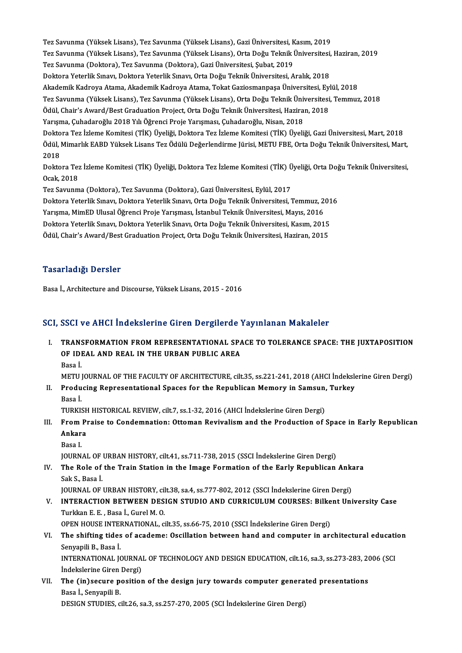Tez Savunma (Yüksek Lisans), Tez Savunma (Yüksek Lisans), Gazi Üniversitesi, Kasım, 2019<br>Tez Savunma (Yüksek Lisans), Tez Savunma (Yüksek Lisans), Gazi Üniversitesi, Kasım, 2019 Tez Savunma (Yüksek Lisans), Tez Savunma (Yüksek Lisans), Gazi Üniversitesi, Kasım, 2019<br>Tez Savunma (Yüksek Lisans), Tez Savunma (Yüksek Lisans), Orta Doğu Teknik Üniversitesi, Haziran, 2019<br>Tez Savunma (Deltans), Tez Sav Tez Savunma (Yüksek Lisans), Tez Savunma (Yüksek Lisans), Gazi Üniversitesi, K<br>Tez Savunma (Yüksek Lisans), Tez Savunma (Yüksek Lisans), Orta Doğu Teknik İ<br>Tez Savunma (Doktora), Tez Savunma (Doktora), Gazi Üniversitesi, Ş Tez Savunma (Yüksek Lisans), Tez Savunma (Yüksek Lisans), Orta Doğu Teknik Üniversitesi,<br>Tez Savunma (Doktora), Tez Savunma (Doktora), Gazi Üniversitesi, Şubat, 2019<br>Doktora Yeterlik Sınavı, Doktora Yeterlik Sınavı, Orta D Tez Savunma (Doktora), Tez Savunma (Doktora), Gazi Üniversitesi, Şubat, 2019<br>Doktora Yeterlik Sınavı, Doktora Yeterlik Sınavı, Orta Doğu Teknik Üniversitesi, Aralık, 2018<br>Akademik Kadroya Atama, Akademik Kadroya Atama, Tok Doktora Yeterlik Sınavı, Doktora Yeterlik Sınavı, Orta Doğu Teknik Üniversitesi, Aralık, 2018<br>Akademik Kadroya Atama, Akademik Kadroya Atama, Tokat Gaziosmanpaşa Üniversitesi, Eylül, 2018<br>Tez Savunma (Yüksek Lisans), Tez S Akademik Kadroya Atama, Akademik Kadroya Atama, Tokat Gaziosmanpaşa Üniversitesi, Eyl<br>Tez Savunma (Yüksek Lisans), Tez Savunma (Yüksek Lisans), Orta Doğu Teknik Üniversitesi<br>Ödül, Chair's Award/Best Graduation Project, Ort Ödül, Chair's Award/Best Graduation Project, Orta Doğu Teknik Üniversitesi, Haziran, 2018<br>Yarışma, Çuhadaroğlu 2018 Yılı Öğrenci Proje Yarışması, Çuhadaroğlu, Nisan, 2018 Ödül, Chair's Award/Best Graduation Project, Orta Doğu Teknik Üniversitesi, Haziran, 2018<br>Yarışma, Çuhadaroğlu 2018 Yılı Öğrenci Proje Yarışması, Çuhadaroğlu, Nisan, 2018<br>Doktora Tez İzleme Komitesi (TİK) Üyeliği, Doktora Yarışma, Çuhadaroğlu 2018 Yılı Öğrenci Proje Yarışması, Çuhadaroğlu, Nisan, 2018<br>Doktora Tez İzleme Komitesi (TİK) Üyeliği, Doktora Tez İzleme Komitesi (TİK) Üyeliği, Gazi Üniversitesi, Mart,<br>Ödül, Mimarlık EABD Yüksek Lis Dokto<br>Ödül, l<br>2018 Ödül, Mimarlık EABD Yüksek Lisans Tez Ödülü Değerlendirme Jürisi, METU FBE, Orta Doğu Teknik Üniversitesi, Mart,<br>2018<br>Doktora Tez İzleme Komitesi (TİK) Üyeliği, Doktora Tez İzleme Komitesi (TİK) Üyeliği, Orta Doğu Teknik Ü Doktora Tez İzleme Komitesi (TİK) Üyeliği, Doktora Tez İzleme Komitesi (TİK) Üyeliği, Orta Doğu Teknik Üniversitesi, Tez Savunma (Doktora), Tez Savunma (Doktora), Gazi Üniversitesi, Eylül, 2017 Ocak, 2018<br>Tez Savunma (Doktora), Tez Savunma (Doktora), Gazi Üniversitesi, Eylül, 2017<br>Doktora Yeterlik Sınavı, Doktora Yeterlik Sınavı, Orta Doğu Teknik Üniversitesi, Temmuz, 2016<br>Yanısma, MimED Ulusal Öğrensi Breje Yanı Tez Savunma (Doktora), Tez Savunma (Doktora), Gazi Üniversitesi, Eylül, 2017<br>Doktora Yeterlik Sınavı, Doktora Yeterlik Sınavı, Orta Doğu Teknik Üniversitesi, Temmuz, 2<br>Yarışma, MimED Ulusal Öğrenci Proje Yarışması, İstanbu Doktora Yeterlik Sınavı, Doktora Yeterlik Sınavı, Orta Doğu Teknik Üniversitesi, Temmuz, 201<br>Yarışma, MimED Ulusal Öğrenci Proje Yarışması, İstanbul Teknik Üniversitesi, Mayıs, 2016<br>Doktora Yeterlik Sınavı, Doktora Yeterli

Yarışma, MimED Ulusal Öğrenci Proje Yarışması, İstanbul Teknik Üniversitesi, Mayıs, 2016<br>Doktora Yeterlik Sınavı, Doktora Yeterlik Sınavı, Orta Doğu Teknik Üniversitesi, Kasım, 2015<br>Ödül, Chair's Award/Best Graduation Proj

### Tasarladığı Dersler

Basa İ., Architecture and Discourse, Yüksek Lisans, 2015 - 2016

### SCI, SSCI ve AHCI İndekslerine Giren Dergilerde Yayınlanan Makaleler

CI, SSCI ve AHCI İndekslerine Giren Dergilerde Yayınlanan Makaleler<br>I. TRANSFORMATION FROM REPRESENTATIONAL SPACE TO TOLERANCE SPACE: THE JUXTAPOSITION<br>OF IDEAL AND REAL IN THE URRAN BURLIC AREA OBSET TO THIST THRONGFOL HIS CITED BUSINERS!<br>TRANSFORMATION FROM REPRESENTATIONAL SPA<br>OF IDEAL AND REAL IN THE URBAN PUBLIC AREA TRANS<br>OF IDI<br>Basa İ. OF IDEAL AND REAL IN THE URBAN PUBLIC AREA<br>Basa İ.<br>METU JOURNAL OF THE FACULTY OF ARCHITECTURE, cilt.35, ss.221-241, 2018 (AHCI İndekslerine Giren Dergi)<br>Produging Bonresentational Speces for the Bonublisen Memory in Semeu

I . Producing Representational Spaces for the RepublicanMemory in Samsun, Turkey METU<br><mark>Produ</mark><br>Basa İ.<br>TURKI Producing Representational Spaces for the Republican Memory in Samsun,<br>Basa İ.<br>TURKISH HISTORICAL REVIEW, cilt.7, ss.1-32, 2016 (AHCI İndekslerine Giren Dergi)<br>Fram Praise ta Candamnation: Ottaman Bevivaliam and the Produc

- Basa İ.<br>TURKISH HISTORICAL REVIEW, cilt.7, ss.1-32, 2016 (AHCI İndekslerine Giren Dergi)<br>III. From Praise to Condemnation: Ottoman Revivalism and the Production of Space in Early Republican<br>Ankara TURKISH<br>From Pi<br>Ankara<br>Pasa L Ankara<br>Basa I.<br>JOURNAL OF URBAN HISTORY, cilt.41, ss.711-738, 2015 (SSCI İndekslerine Giren Dergi)<br>The Bole of the Train Station in the Image Formation of the Farly Bonublican
	- Basa I.

IV. The Role of the Train Station in the Image Formation of the Early Republican Ankara **JOURNAL OF<br>The Role of<br>Sak S., Basa İ.**<br>JOUPNAL OF The Role of the Train Station in the Image Formation of the Early Republican Ank:<br>Sak S., Basa İ.<br>JOURNAL OF URBAN HISTORY, cilt.38, sa.4, ss.777-802, 2012 (SSCI İndekslerine Giren Dergi)<br>INTERACTION RETWEEN DESICN STUDIO

Sak S., Basa İ.<br>JOURNAL OF URBAN HISTORY, cilt.38, sa.4, ss.777-802, 2012 (SSCI İndekslerine Giren Dergi)<br>V. INTERACTION BETWEEN DESIGN STUDIO AND CURRICULUM COURSES: Bilkent University Case<br>Turkkan E. E. Basa İ. Curel **JOURNAL OF URBAN HISTORY, ci<br>INTERACTION BETWEEN DES<br>Turkkan E. E. , Basa İ., Gurel M. O.<br>OPEN HOUSE INTERNATIONAL 6** INTERACTION BETWEEN DESIGN STUDIO AND CURRICULUM COURSES: Bilke<br>Turkkan E. E. , Basa İ., Gurel M. O.<br>OPEN HOUSE INTERNATIONAL, cilt.35, ss.66-75, 2010 (SSCI İndekslerine Giren Dergi)<br>The shifting tides of asadame: Oscillat

Turkkan E. E. , Basa İ., Gurel M. O.<br>OPEN HOUSE INTERNATIONAL, cilt.35, ss.66-75, 2010 (SSCI İndekslerine Giren Dergi)<br>VI. The shifting tides of academe: Oscillation between hand and computer in architectural education OPEN HOUSE INTERNATIONAL, cilt.35, ss.66-75, 2010 (SSCI Indekslerine Giren Dergi)<br>The shifting tides of academe: Oscillation between hand and computer in ar<br>Senyapili B., Basa I. The shifting tides of academe: Oscillation between hand and computer in architectural educati<br>Senyapili B., Basa İ.<br>INTERNATIONAL JOURNAL OF TECHNOLOGY AND DESIGN EDUCATION, cilt.16, sa.3, ss.273-283, 2006 (SCI<br>İndekalerin

INTERNATIONAL JOURNAL OF TECHNOLOGY AND DESIGN EDUCATION, cilt.16, sa.3, ss.273-283, 2006 (SCI Indekslerine Giren Dergi) INTERNATIONAL JOURNAL OF TECHNOLOGY AND DESIGN EDUCATION, cilt.16, sa.3, ss.273-283, 20<br>Indekslerine Giren Dergi)<br>VII. The (in)secure position of the design jury towards computer generated presentations<br>Rege L Servanii P

İndekslerine Giren<br>The (in)secure p<br>Basa İ., Senyapili B.<br>DESICN STUDIES G The (in)secure position of the design jury towards computer genera<br>Basa İ., Senyapili B.<br>DESIGN STUDIES, cilt.26, sa.3, ss.257-270, 2005 (SCI İndekslerine Giren Dergi)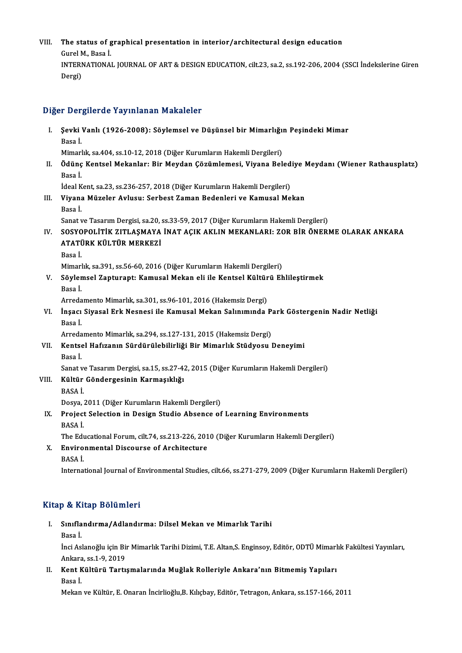### VIII. The status of graphical presentation in interior/architectural design education<br>Curel M. Base i **The status of g**<br>Gurel M., Basa İ.<br>INTERNATIONA The status of graphical presentation in interior/architectural design education<br>Gurel M., Basa İ.<br>INTERNATIONAL JOURNAL OF ART & DESIGN EDUCATION, cilt.23, sa.2, ss.192-206, 2004 (SSCI İndekslerine Giren<br>Dergi) Gurel N<br>INTERI<br>Dergi)

# <sub>Dergi)</sub><br>Diğer Dergilerde Yayınlanan Makaleler

| Diğer Dergilerde Yayınlanan Makaleler |                                                                                                                |
|---------------------------------------|----------------------------------------------------------------------------------------------------------------|
| L                                     | Şevki Vanlı (1926-2008): Söylemsel ve Düşünsel bir Mimarlığın Peşindeki Mimar<br>Basa İ                        |
|                                       | Mimarlık, sa.404, ss.10-12, 2018 (Diğer Kurumların Hakemli Dergileri)                                          |
| П.                                    | Ödünç Kentsel Mekanlar: Bir Meydan Çözümlemesi, Viyana Belediye Meydanı (Wiener Rathausplatz)<br>Basa İ        |
|                                       | İdeal Kent, sa.23, ss.236-257, 2018 (Diğer Kurumların Hakemli Dergileri)                                       |
| III.                                  | Viyana Müzeler Avlusu: Serbest Zaman Bedenleri ve Kamusal Mekan<br>Basa İ                                      |
|                                       | Sanat ve Tasarım Dergisi, sa.20, ss.33-59, 2017 (Diğer Kurumların Hakemli Dergileri)                           |
| IV.                                   | SOSYOPOLITIK ZITLAŞMAYA İNAT AÇIK AKLIN MEKANLARI: ZOR BİR ÖNERME OLARAK ANKARA<br>ATATÜRK KÜLTÜR MERKEZİ      |
|                                       | Basa İ.                                                                                                        |
|                                       | Mimarlık, sa.391, ss.56-60, 2016 (Diğer Kurumların Hakemli Dergileri)                                          |
| V.                                    | Söylemsel Zapturapt: Kamusal Mekan eli ile Kentsel Kültürü Ehlileştirmek                                       |
|                                       | Basa İ.                                                                                                        |
|                                       | Arredamento Mimarlık, sa.301, ss.96-101, 2016 (Hakemsiz Dergi)                                                 |
| VI.                                   | İnşacı Siyasal Erk Nesnesi ile Kamusal Mekan Salınımında Park Göstergenin Nadir Netliği<br>Basa İ              |
|                                       | Arredamento Mimarlık, sa.294, ss.127-131, 2015 (Hakemsiz Dergi)                                                |
| VII.                                  | Kentsel Hafızanın Sürdürülebilirliği Bir Mimarlık Stüdyosu Deneyimi                                            |
|                                       | Basa İ                                                                                                         |
|                                       | Sanat ve Tasarım Dergisi, sa.15, ss.27-42, 2015 (Diğer Kurumların Hakemli Dergileri)                           |
| VIII.                                 | Kültür Göndergesinin Karmaşıklığı                                                                              |
|                                       | <b>BASA İ</b>                                                                                                  |
|                                       | Dosya, 2011 (Diğer Kurumların Hakemli Dergileri)                                                               |
| IX.                                   | Project Selection in Design Studio Absence of Learning Environments<br>BASA İ.                                 |
|                                       | The Educational Forum, cilt.74, ss.213-226, 2010 (Diğer Kurumların Hakemli Dergileri)                          |
| X.                                    | <b>Environmental Discourse of Architecture</b>                                                                 |
|                                       | BASA İ.                                                                                                        |
|                                       | International Journal of Environmental Studies, cilt.66, ss.271-279, 2009 (Diğer Kurumların Hakemli Dergileri) |

### Kitap & Kitap Bölümleri

- İtap & Kitap Bölümleri<br>I. Sınıflandırma/Adlandırma: Dilsel Mekan ve Mimarlık Tarihi<br>Rasa İ p & 11.<br>Sınıfla<br>Basa İ.
	-

Sınıflandırma/Adlandırma: Dilsel Mekan ve Mimarlık Tarihi<br>Basa İ.<br>İnci Aslanoğlu için Bir Mimarlık Tarihi Dizimi, T.E. Altan,S. Enginsoy, Editör, ODTÜ Mimarlık Fakültesi Yayınları, Basa İ.<br>İnci Aslanoğlu için Bir<br>Ankara, ss.1-9, 2019<br>Kont Kültünü Tontı İnci Aslanoğlu için Bir Mimarlık Tarihi Dizimi, T.E. Altan,S. Enginsoy, Editör, ODTÜ Mimarl<br>Ankara, ss.1-9, 2019<br>II. Kent Kültürü Tartışmalarında Muğlak Rolleriyle Ankara'nın Bitmemiş Yapıları<br>Pesa İ

Ankara<br>Kent K<br>Basa İ. Kent Kültürü Tartışmalarında Muğlak Rolleriyle Ankara'nın Bitmemiş Yapıları<br>Basa İ.<br>Mekan ve Kültür, E. Onaran İncirlioğlu,B. Kılıçbay, Editör, Tetragon, Ankara, ss.157-166, 2011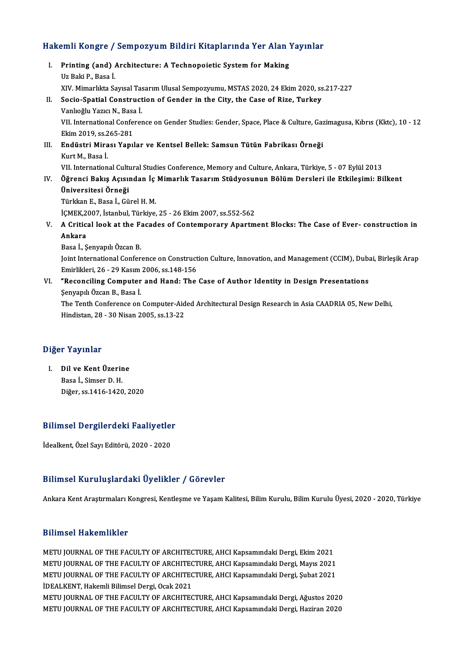# Hakemli Kongre / Sempozyum Bildiri Kitaplarında Yer Alan Yayınlar<br>Hakemli Kongre / Sempozyum Bildiri Kitaplarında Yer Alan Yayınlar

| Hakemli Kongre / Sempozyum Bildiri Kitaplarında Yer Alan Yayınlar |                                                                                                                     |
|-------------------------------------------------------------------|---------------------------------------------------------------------------------------------------------------------|
| Ι.                                                                | Printing (and) Architecture: A Technopoietic System for Making                                                      |
|                                                                   | Uz Baki P, Basa İ                                                                                                   |
|                                                                   | XIV. Mimarlıkta Sayısal Tasarım Ulusal Sempozyumu, MSTAS 2020, 24 Ekim 2020, ss.217-227                             |
| Н.                                                                | Socio-Spatial Construction of Gender in the City, the Case of Rize, Turkey                                          |
|                                                                   | Vanlıoğlu Yazıcı N, Basa İ.                                                                                         |
|                                                                   | VII. International Conference on Gender Studies: Gender, Space, Place & Culture, Gazimagusa, Kıbrıs (Kktc), 10 - 12 |
|                                                                   | Ekim 2019, ss 265-281                                                                                               |
| III.                                                              | Endüstri Mirası Yapılar ve Kentsel Bellek: Samsun Tütün Fabrikası Örneği                                            |
|                                                                   | Kurt M, Basa I.                                                                                                     |
|                                                                   | VII. International Cultural Studies Conference, Memory and Culture, Ankara, Türkiye, 5 - 07 Eylül 2013              |
| IV.                                                               | Öğrenci Bakış Açısından İç Mimarlık Tasarım Stüdyosunun Bölüm Dersleri ile Etkileşimi: Bilkent                      |
|                                                                   | Üniversitesi Örneği                                                                                                 |
|                                                                   | Türkkan E., Basa İ., Gürel H. M.                                                                                    |
|                                                                   | İÇMEK, 2007, İstanbul, Türkiye, 25 - 26 Ekim 2007, ss. 552-562                                                      |
| V.                                                                | A Critical look at the Facades of Contemporary Apartment Blocks: The Case of Ever-construction in                   |
|                                                                   | Ankara                                                                                                              |
|                                                                   | Basa İ., Şenyapılı Özcan B.                                                                                         |
|                                                                   | Joint International Conference on Construction Culture, Innovation, and Management (CCIM), Dubai, Birleşik Arap     |
|                                                                   | Emirlikleri, 26 - 29 Kasım 2006, ss 148-156                                                                         |
|                                                                   | VI. "Reconciling Computer and Hand: The Case of Author Identity in Design Presentations                             |
|                                                                   | Şenyapılı Özcan B., Basa İ.                                                                                         |
|                                                                   | The Tenth Conference on Computer-Aided Architectural Design Research in Asia CAADRIA 05, New Delhi                  |

The Tenth Conference on Computer-Aided Architectural Design Research in Asia CAADRIA 05, New Delhi, Hindistan,28 -30Nisan2005, ss.13-22

### Diğer Yayınlar

iğer Yayınlar<br>I. Dil ve Kent Üzerine<br>Resal Simser D. H nday mark<br>Dil ve Kent Üzerir<br>Basa İ., Simser D. H.<br>Diğer es 1416 1420 Basa İ., Simser D. H.<br>Diğer, ss.1416-1420, 2020

## BilimselDergilerdeki Faaliyetler Bilimsel Dergilerdeki Faaliyetle:<br>İdealkent, Özel Sayı Editörü, 2020 - 2020

# İdealkent, Özel Sayı Editörü, 2020 - 2020<br>Bilimsel Kuruluşlardaki Üyelikler / Görevler

Ankara Kent Araştırmaları Kongresi, Kentleşme ve Yaşam Kalitesi, Bilim Kurulu, Bilim Kurulu Üyesi, 2020 - 2020, Türkiye

### Bilimsel Hakemlikler

METU JOURNAL OF THE FACULTY OF ARCHITECTURE, AHCI Kapsamındaki Dergi, Ekim 2021 METU JOURNAL OF THE FACULTY OF ARCHITECTURE, AHCI Kapsamındaki Dergi, Mayıs 2021 METU JOURNAL OF THE FACULTY OF ARCHITECTURE, AHCI Kapsamındaki Dergi, Ekim 2021<br>METU JOURNAL OF THE FACULTY OF ARCHITECTURE, AHCI Kapsamındaki Dergi, Mayıs 2021<br>METU JOURNAL OF THE FACULTY OF ARCHITECTURE, AHCI Kapsamındak METU JOURNAL OF THE FACULTY OF ARCHITE<mark>C</mark><br>METU JOURNAL OF THE FACULTY OF ARCHITEC<br>İDEALKENT, Hakemli Bilimsel Dergi, Ocak 2021<br>METU JOURNAL OF THE FACULTY OF ARCHITEC METU JOURNAL OF THE FACULTY OF ARCHITECTURE, AHCI Kapsamındaki Dergi, Şubat 2021<br>İDEALKENT, Hakemli Bilimsel Dergi, Ocak 2021<br>METU JOURNAL OF THE FACULTY OF ARCHITECTURE, AHCI Kapsamındaki Dergi, Ağustos 2020<br>METU JOURNAL İDEALKENT, Hakemli Bilimsel Dergi, Ocak 2021<br>METU JOURNAL OF THE FACULTY OF ARCHITECTURE, AHCI Kapsamındaki Dergi, Ağustos 2020<br>METU JOURNAL OF THE FACULTY OF ARCHITECTURE, AHCI Kapsamındaki Dergi, Haziran 2020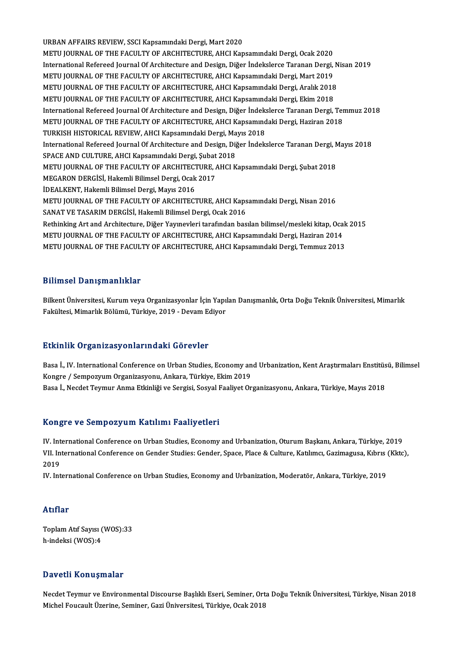URBAN AFFAIRS REVIEW, SSCI Kapsamındaki Dergi, Mart 2020 METU JOURNAL OF THE FACULTY OF ARCHITECTURE, AHCI Kapsamındaki Dergi, Ocak 2020 URBAN AFFAIRS REVIEW, SSCI Kapsamındaki Dergi, Mart 2020<br>METU JOURNAL OF THE FACULTY OF ARCHITECTURE, AHCI Kapsamındaki Dergi, Ocak 2020<br>International Refereed Journal Of Architecture and Design, Diğer İndekslerce Taranan METU JOURNAL OF THE FACULTY OF ARCHITECTURE, AHCI Kapsamındaki Dergi, Ocak 2020<br>International Refereed Journal Of Architecture and Design, Diğer İndekslerce Taranan Dergi,<br>METU JOURNAL OF THE FACULTY OF ARCHITECTURE, AHCI International Refereed Journal Of Architecture and Design, Diğer İndekslerce Taranan Dergi, N<br>METU JOURNAL OF THE FACULTY OF ARCHITECTURE, AHCI Kapsamındaki Dergi, Mart 2019<br>METU JOURNAL OF THE FACULTY OF ARCHITECTURE, AHC METU JOURNAL OF THE FACULTY OF ARCHITECTURE, AHCI Kapsamındaki Dergi, Mart 2019<br>METU JOURNAL OF THE FACULTY OF ARCHITECTURE, AHCI Kapsamındaki Dergi, Aralık 2018<br>METU JOURNAL OF THE FACULTY OF ARCHITECTURE, AHCI Kapsamında METU JOURNAL OF THE FACULTY OF ARCHITECTURE, AHCI Kapsamındaki Dergi, Aralık 2018<br>METU JOURNAL OF THE FACULTY OF ARCHITECTURE, AHCI Kapsamındaki Dergi, Ekim 2018<br>International Refereed Journal Of Architecture and Design, D METU JOURNAL OF THE FACULTY OF ARCHITECTURE, AHCI Kapsamındaki Dergi, Ekim 2018<br>International Refereed Journal Of Architecture and Design, Diğer İndekslerce Taranan Dergi, Ter<br>METU JOURNAL OF THE FACULTY OF ARCHITECTURE, A International Refereed Journal Of Architecture and Design, Diğer İndek:<br>METU JOURNAL OF THE FACULTY OF ARCHITECTURE, AHCI Kapsamınd<br>TURKISH HISTORICAL REVIEW, AHCI Kapsamındaki Dergi, Mayıs 2018<br>International Befereed Jour METU JOURNAL OF THE FACULTY OF ARCHITECTURE, AHCI Kapsamındaki Dergi, Haziran 2018<br>TURKISH HISTORICAL REVIEW, AHCI Kapsamındaki Dergi, Mayıs 2018<br>International Refereed Journal Of Architecture and Design, Diğer İndekslerce TURKISH HISTORICAL REVIEW, AHCI Kapsamındaki Dergi, Ma<br>International Refereed Journal Of Architecture and Design, Dij<br>SPACE AND CULTURE, AHCI Kapsamındaki Dergi, Şubat 2018<br>METU JOURNAL OF THE FACULTY OF ARCHITECTURE, AHCI International Refereed Journal Of Architecture and Design, Diğer İndekslerce Taranan Dergi, N<br>SPACE AND CULTURE, AHCI Kapsamındaki Dergi, Şubat 2018<br>METU JOURNAL OF THE FACULTY OF ARCHITECTURE, AHCI Kapsamındaki Dergi, Şub SPACE AND CULTURE, AHCI Kapsamındaki Dergi, Şubat 2018<br>METU JOURNAL OF THE FACULTY OF ARCHITECTURE, AHCI Kapsamındaki Dergi, Şubat 2018<br>MEGARON DERGİSİ, Hakemli Bilimsel Dergi, Ocak 2017 İDEALKENT, Hakemli Bilimsel Dergi, Mayıs 2016 MEGARON DERGİSİ, Hakemli Bilimsel Dergi, Ocak 2017<br>İDEALKENT, Hakemli Bilimsel Dergi, Mayıs 2016<br>METU JOURNAL OF THE FACULTY OF ARCHITECTURE, AHCI Kapsamındaki Dergi, Nisan 2016<br>SANAT VE TASARIM DERGİSİ, Hakemli Bilimsel D İDEALKENT, Hakemli Bilimsel Dergi, Mayıs 2016<br>METU JOURNAL OF THE FACULTY OF ARCHITECTURE, AHCI Kaps<br>SANAT VE TASARIM DERGİSİ, Hakemli Bilimsel Dergi, Ocak 2016<br>Bethinking Art and Arekitecture, Diğer Yaunayları tarafından METU JOURNAL OF THE FACULTY OF ARCHITECTURE, AHCI Kapsamındaki Dergi, Nisan 2016<br>SANAT VE TASARIM DERGİSİ, Hakemli Bilimsel Dergi, Ocak 2016<br>Rethinking Art and Architecture, Diğer Yayınevleri tarafından basılan bilimsel/me SANAT VE TASARIM DERGİSİ, Hakemli Bilimsel Dergi, Ocak 2016<br>Rethinking Art and Architecture, Diğer Yayınevleri tarafından basılan bilimsel/mesleki kitap, Oca<br>METU JOURNAL OF THE FACULTY OF ARCHITECTURE, AHCI Kapsamındaki D METU JOURNAL OF THE FACULTY OF ARCHITECTURE, AHCI Kapsamındaki Dergi, Haziran 2014<br>METU JOURNAL OF THE FACULTY OF ARCHITECTURE, AHCI Kapsamındaki Dergi, Temmuz 2013

### Bilimsel Danışmanlıklar

Bilimsel Danışmanlıklar<br>Bilkent Üniversitesi, Kurum veya Organizasyonlar İçin Yapılan Danışmanlık, Orta Doğu Teknik Üniversitesi, Mimarlık<br>Fekültesi, Mimarlık Pölümü, Türkiye, 2019, "Devam Ediyer Bilkent Üniversitesi, Kurum veya Organizasyonlar İçin Yapı<br>Bilkent Üniversitesi, Kurum veya Organizasyonlar İçin Yapı<br>Fakültesi, Mimarlık Bölümü, Türkiye, 2019 - Devam Ediyor Fakültesi, Mimarlık Bölümü, Türkiye, 2019 - Devam Ediyor<br>Etkinlik Organizasyonlarındaki Görevler

Basa İ., IV. International Conference on Urban Studies, Economy and Urbanization, Kent Araştırmaları Enstitüsü, Bilimsel Kongre / Sempozyum Organizasyonu, Ankara, Türkiye, Ekim 2019 Basa İ., Necdet Teymur Anma Etkinliği ve Sergisi, Sosyal Faaliyet Organizasyonu, Ankara, Türkiye, Mayıs 2018

### Kongre ve SempozyumKatılımı Faaliyetleri

IV. InternationalConference onUrbanStudies,Economy andUrbanization,OturumBaşkanı,Ankara,Türkiye,2019 Itongrovo Sompozy am Tratmini Planiy Strori<br>IV. International Conference on Urban Studies, Economy and Urbanization, Oturum Başkanı, Ankara, Türkiye, 2019<br>VII. International Conference on Gender Studies: Gender, Space, Pla IV Int<br>VII In<br>2019<br>IV Int VII. International Conference on Gender Studies: Gender, Space, Place & Culture, Katılımcı, Gazimagusa, Kıbrıs<br>2019<br>IV. International Conference on Urban Studies, Economy and Urbanization, Moderatör, Ankara, Türkiye, 2019

IV. International Conference on Urban Studies, Economy and Urbanization, Moderatör, Ankara, Türkiye, 2019<br>Atıflar

Atıflar<br>Toplam Atıf Sayısı (WOS):33<br>b indeksi (WOS):4 rrerrer<br>Toplam Atıf Sayısı (<br>h-indeksi (WOS):4

# h-indeksi (WOS):4<br>Davetli Konuşmalar

Necdet Teymur ve Environmental Discourse Başlıklı Eseri, Seminer, Orta Doğu Teknik Üniversitesi, Türkiye, Nisan 2018 Michel Foucault Üzerine, Seminer, Gazi Üniversitesi, Türkiye, Ocak 2018